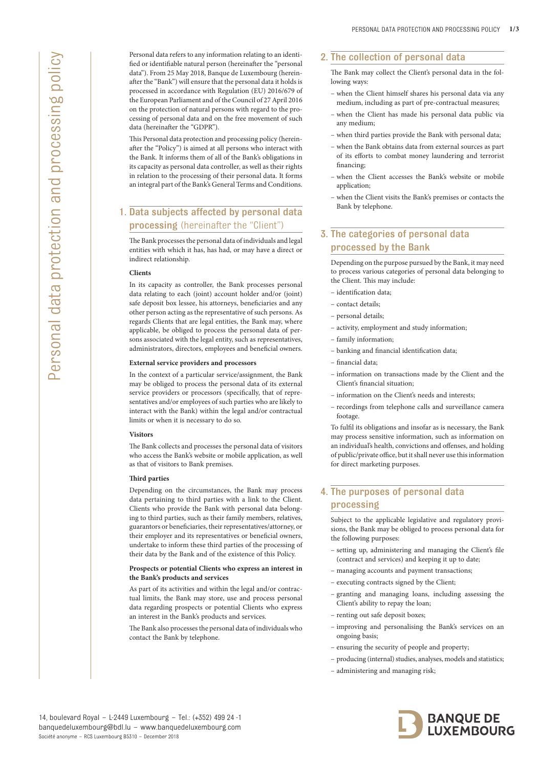Personal data refers to any information relating to an identified or identifiable natural person (hereinafter the "personal data"). From 25 May 2018, Banque de Luxembourg (hereinafter the "Bank") will ensure that the personal data it holds is processed in accordance with Regulation (EU) 2016/679 of the European Parliament and of the Council of 27 April 2016 on the protection of natural persons with regard to the processing of personal data and on the free movement of such data (hereinafter the "GDPR").

This Personal data protection and processing policy (hereinafter the "Policy") is aimed at all persons who interact with the Bank. It informs them of all of the Bank's obligations in its capacity as personal data controller, as well as their rights in relation to the processing of their personal data. It forms an integral part of the Bank's General Terms and Conditions.

# 1. Data subjects affected by personal data processing (hereinafter the "Client")

The Bank processes the personal data of individuals and legal entities with which it has, has had, or may have a direct or indirect relationship.

### **Clients**

In its capacity as controller, the Bank processes personal data relating to each (joint) account holder and/or (joint) safe deposit box lessee, his attorneys, beneficiaries and any other person acting as the representative of such persons. As regards Clients that are legal entities, the Bank may, where applicable, be obliged to process the personal data of persons associated with the legal entity, such as representatives, administrators, directors, employees and beneficial owners.

### **External service providers and processors**

In the context of a particular service/assignment, the Bank may be obliged to process the personal data of its external service providers or processors (specifically, that of representatives and/or employees of such parties who are likely to interact with the Bank) within the legal and/or contractual limits or when it is necessary to do so.

#### **Visitors**

The Bank collects and processes the personal data of visitors who access the Bank's website or mobile application, as well as that of visitors to Bank premises.

## **Third parties**

Depending on the circumstances, the Bank may process data pertaining to third parties with a link to the Client. Clients who provide the Bank with personal data belonging to third parties, such as their family members, relatives, guarantors or beneficiaries, their representatives/attorney, or their employer and its representatives or beneficial owners, undertake to inform these third parties of the processing of their data by the Bank and of the existence of this Policy.

#### **Prospects or potential Clients who express an interest in the Bank's products and services**

As part of its activities and within the legal and/or contractual limits, the Bank may store, use and process personal data regarding prospects or potential Clients who express an interest in the Bank's products and services.

The Bank also processes the personal data of individuals who contact the Bank by telephone.

## 2. The collection of personal data

The Bank may collect the Client's personal data in the following ways:

- when the Client himself shares his personal data via any medium, including as part of pre-contractual measures;
- when the Client has made his personal data public via any medium;
- when third parties provide the Bank with personal data;
- when the Bank obtains data from external sources as part of its efforts to combat money laundering and terrorist financing;
- when the Client accesses the Bank's website or mobile application;
- when the Client visits the Bank's premises or contacts the Bank by telephone.

# 3. The categories of personal data processed by the Bank

Depending on the purpose pursued by the Bank, it may need to process various categories of personal data belonging to the Client. This may include:

- identification data;
- contact details;
- personal details;
- activity, employment and study information;
- family information;
- banking and financial identification data;
- financial data;
- information on transactions made by the Client and the Client's financial situation;
- information on the Client's needs and interests;
- recordings from telephone calls and surveillance camera footage.

To fulfil its obligations and insofar as is necessary, the Bank may process sensitive information, such as information on an individual's health, convictions and offenses, and holding of public/private office, but it shall never use this information for direct marketing purposes.

# 4. The purposes of personal data processing

Subject to the applicable legislative and regulatory provisions, the Bank may be obliged to process personal data for the following purposes:

- setting up, administering and managing the Client's file (contract and services) and keeping it up to date;
- managing accounts and payment transactions;
- executing contracts signed by the Client;
- granting and managing loans, including assessing the Client's ability to repay the loan;
- renting out safe deposit boxes;
- improving and personalising the Bank's services on an ongoing basis;
- ensuring the security of people and property;
- producing (internal) studies, analyses, models and statistics;
- administering and managing risk;

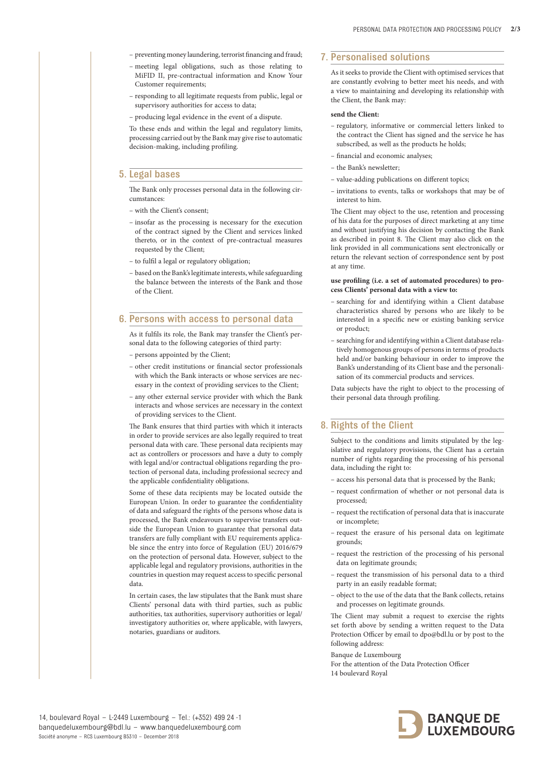- preventing money laundering, terrorist financing and fraud;
- meeting legal obligations, such as those relating to MiFID II, pre-contractual information and Know Your Customer requirements;
- responding to all legitimate requests from public, legal or supervisory authorities for access to data;
- producing legal evidence in the event of a dispute.

To these ends and within the legal and regulatory limits, processing carried out by the Bank may give rise to automatic decision-making, including profiling.

## 5. Legal bases

The Bank only processes personal data in the following circumstances

- with the Client's consent;
- insofar as the processing is necessary for the execution of the contract signed by the Client and services linked thereto, or in the context of pre-contractual measures requested by the Client;
- to fulfil a legal or regulatory obligation;
- based on the Bank's legitimate interests, while safeguarding the balance between the interests of the Bank and those of the Client.

### 6. Persons with access to personal data

As it fulfils its role, the Bank may transfer the Client's personal data to the following categories of third party:

- persons appointed by the Client;
- other credit institutions or financial sector professionals with which the Bank interacts or whose services are necessary in the context of providing services to the Client;
- any other external service provider with which the Bank interacts and whose services are necessary in the context of providing services to the Client.

The Bank ensures that third parties with which it interacts in order to provide services are also legally required to treat personal data with care. These personal data recipients may act as controllers or processors and have a duty to comply with legal and/or contractual obligations regarding the protection of personal data, including professional secrecy and the applicable confidentiality obligations.

Some of these data recipients may be located outside the European Union. In order to guarantee the confidentiality of data and safeguard the rights of the persons whose data is processed, the Bank endeavours to supervise transfers outside the European Union to guarantee that personal data transfers are fully compliant with EU requirements applicable since the entry into force of Regulation (EU) 2016/679 on the protection of personal data. However, subject to the applicable legal and regulatory provisions, authorities in the countries in question may request access to specific personal data.

In certain cases, the law stipulates that the Bank must share Clients' personal data with third parties, such as public authorities, tax authorities, supervisory authorities or legal/ investigatory authorities or, where applicable, with lawyers, notaries, guardians or auditors.

## 7. Personalised solutions

As it seeks to provide the Client with optimised services that are constantly evolving to better meet his needs, and with a view to maintaining and developing its relationship with the Client, the Bank may:

### **send the Client:**

- regulatory, informative or commercial letters linked to the contract the Client has signed and the service he has subscribed, as well as the products he holds;
- financial and economic analyses;
- the Bank's newsletter;
- value-adding publications on different topics;
- invitations to events, talks or workshops that may be of interest to him.

The Client may object to the use, retention and processing of his data for the purposes of direct marketing at any time and without justifying his decision by contacting the Bank as described in point 8. The Client may also click on the link provided in all communications sent electronically or return the relevant section of correspondence sent by post at any time.

#### **use profiling (i.e. a set of automated procedures) to process Clients' personal data with a view to:**

- searching for and identifying within a Client database characteristics shared by persons who are likely to be interested in a specific new or existing banking service or product;
- searching for and identifying within a Client database relatively homogenous groups of persons in terms of products held and/or banking behaviour in order to improve the Bank's understanding of its Client base and the personalisation of its commercial products and services.

Data subjects have the right to object to the processing of their personal data through profiling.

## 8. Rights of the Client

Subject to the conditions and limits stipulated by the legislative and regulatory provisions, the Client has a certain number of rights regarding the processing of his personal data, including the right to:

- access his personal data that is processed by the Bank;
- request confirmation of whether or not personal data is processed;
- request the rectification of personal data that is inaccurate or incomplete;
- request the erasure of his personal data on legitimate grounds;
- request the restriction of the processing of his personal data on legitimate grounds;
- request the transmission of his personal data to a third party in an easily readable format;
- object to the use of the data that the Bank collects, retains and processes on legitimate grounds.

The Client may submit a request to exercise the rights set forth above by sending a written request to the Data Protection Officer by email to dpo@bdl.lu or by post to the following address:

Banque de Luxembourg

For the attention of the Data Protection Officer 14 boulevard Royal